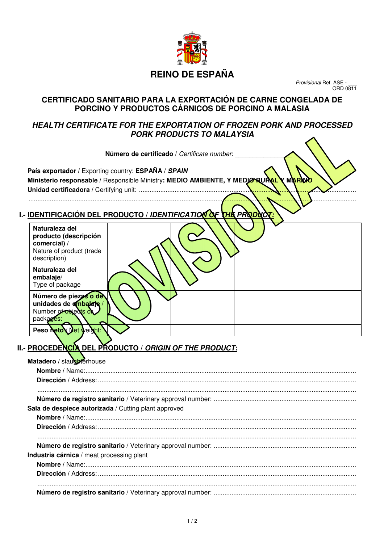

## **REINO DE ESPAÑA**

Provisional Ref. ASE -ORD 0811

### **CERTIFICADO SANITARIO PARA LA EXPORTACIÓN DE CARNE CONGELADA DE PORCINO Y PRODUCTOS CÁRNICOS DE PORCINO A MALASIA**

### **HEALTH CERTIFICATE FOR THE EXPORTATION OF FROZEN PORK AND PROCESSED PORK PRODUCTS TO MALAYSIA**

Número de certificado / Certificate number: **País exportador /** Exporting country: **ESPAÑA / SPAIN Ministerio responsable / Responsible Ministry: MEDIO AMBIENTE, Y MEDIO RURAL Y MARINA Unidad certificadora /** Certifying unit: ..........................................................................................................................

### **I.- IDENTIFICACIÓN DEL PRODUCTO / IDENTIFICATION OF THE PRO**

........................................................................................................................................................................................

| Naturaleza del<br>producto (descripción<br>comercial) /<br>Nature of product (trade<br>description) |  |  |
|-----------------------------------------------------------------------------------------------------|--|--|
| Naturaleza del<br>embalaje/<br>Type of package                                                      |  |  |
| Número de piezas o de<br>unidades de ambalaje<br>Number of objects of<br>packages:                  |  |  |
| Peso neto Net weight:                                                                               |  |  |

# **II.- PROCEDENCIA DEL PRODUCTO / ORIGIN OF THE PRODUCT:**

| Matadero / slausherhouse                             |
|------------------------------------------------------|
|                                                      |
|                                                      |
|                                                      |
| Sala de despiece autorizada / Cutting plant approved |
|                                                      |
|                                                      |
|                                                      |
| Industria cárnica / meat processing plant            |
|                                                      |
|                                                      |
|                                                      |
|                                                      |